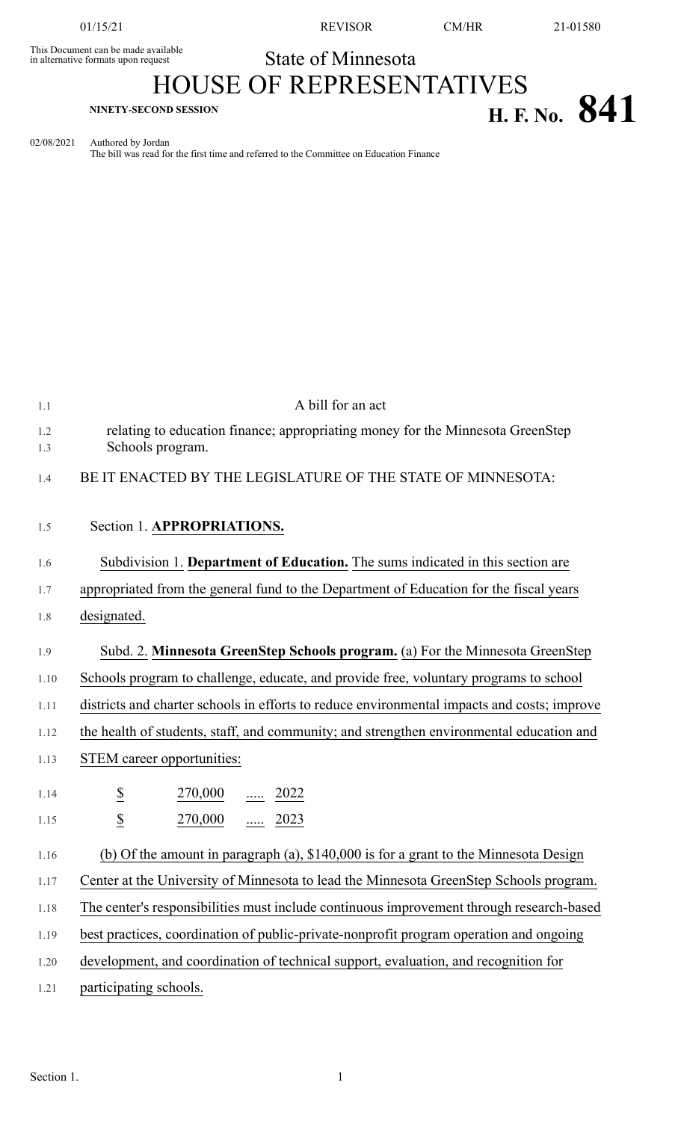This Document can be made available<br>in alternative formats upon request

01/15/21 REVISOR CM/HR 21-01580

State of Minnesota

## HOUSE OF REPRESENTATIVES **H. F. No. 841**

02/08/2021 Authored by Jordan The bill was read for the first time and referred to the Committee on Education Finance

| 1.1        | A bill for an act                                                                                  |
|------------|----------------------------------------------------------------------------------------------------|
| 1.2<br>1.3 | relating to education finance; appropriating money for the Minnesota GreenStep<br>Schools program. |
| 1.4        | BE IT ENACTED BY THE LEGISLATURE OF THE STATE OF MINNESOTA:                                        |
| 1.5        | Section 1. APPROPRIATIONS.                                                                         |
| 1.6        | Subdivision 1. Department of Education. The sums indicated in this section are                     |
| 1.7        | appropriated from the general fund to the Department of Education for the fiscal years             |
| 1.8        | designated.                                                                                        |
| 1.9        | Subd. 2. Minnesota GreenStep Schools program. (a) For the Minnesota GreenStep                      |
| 1.10       | Schools program to challenge, educate, and provide free, voluntary programs to school              |
| 1.11       | districts and charter schools in efforts to reduce environmental impacts and costs; improve        |
| 1.12       | the health of students, staff, and community; and strengthen environmental education and           |
| 1.13       | STEM career opportunities:                                                                         |
| 1.14       | $\overline{\mathcal{E}}$<br>$\frac{270,000}{}$ 2022                                                |
| 1.15       | $\overline{\mathcal{L}}$<br>270,000  2023                                                          |
| 1.16       | (b) Of the amount in paragraph (a), $$140,000$ is for a grant to the Minnesota Design              |
| 1.17       | Center at the University of Minnesota to lead the Minnesota GreenStep Schools program.             |
| 1.18       | The center's responsibilities must include continuous improvement through research-based           |
| 1.19       | best practices, coordination of public-private-nonprofit program operation and ongoing             |
| 1.20       | development, and coordination of technical support, evaluation, and recognition for                |
| 1.21       | participating schools.                                                                             |
|            |                                                                                                    |